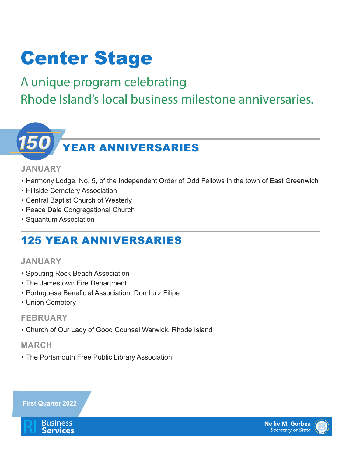## Center Stage

## A unique program celebrating Rhode Island's local business milestone anniversaries.

# YEAR ANNIVERSARIES

#### **JANUARY**

- Harmony Lodge, No. 5, of the Independent Order of Odd Fellows in the town of East Greenwich
- Hillside Cemetery Association
- Central Baptist Church of Westerly
- Peace Dale Congregational Church
- Squantum Association

## 125 YEAR ANNIVERSARIES

#### **JANUARY**

- Spouting Rock Beach Association
- The Jamestown Fire Department
- Portuguese Beneficial Association, Don Luiz Filipe
- Union Cemetery

#### **FEBRUARY**

• Church of Our Lady of Good Counsel Warwick, Rhode Island

#### **MARCH**

• The Portsmouth Free Public Library Association







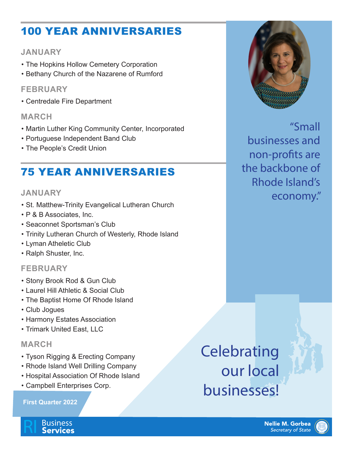## 100 YEAR ANNIVERSARIES

#### **JANUARY**

- The Hopkins Hollow Cemetery Corporation
- Bethany Church of the Nazarene of Rumford

#### **FEBRUARY**

• Centredale Fire Department

#### **MARCH**

- Martin Luther King Community Center, Incorporated
- Portuguese Independent Band Club
- The People's Credit Union

### 75 YEAR ANNIVERSARIES

#### **JANUARY**

- St. Matthew-Trinity Evangelical Lutheran Church
- P & B Associates, Inc.
- Seaconnet Sportsman's Club
- Trinity Lutheran Church of Westerly, Rhode Island
- Lyman Atheletic Club
- Ralph Shuster, Inc.

#### **FEBRUARY**

- Stony Brook Rod & Gun Club
- Laurel Hill Athletic & Social Club
- The Baptist Home Of Rhode Island
- Club Jogues
- Harmony Estates Association
- Trimark United East, LLC

#### **MARCH**

- Tyson Rigging & Erecting Company
- Rhode Island Well Drilling Company
- Hospital Association Of Rhode Island
- Campbell Enterprises Corp.

#### **First Quarter 2022**

**Celebrating** 



"Small businesses and non-profits are the backbone of Rhode Island's economy."

# our local businesses!



**Business**<br>Services

**Nellie M. Gorbea Secretary of State**